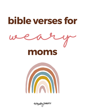



enforgelay THRIFTY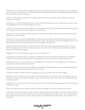Philippians 4:6-7 "Do not be anxious about anything, but in everything by prayer and supplication with thanksgiving let your requests be made known to God. And the peace of God, which surpasses all understanding, will guard your hearts and your minds in Christ Jesus."

Psalm 27:1 "The LORD is my light and my salvation; whom shall I fear? The LORD is the stronghold of my life; of whom shall I be afraid?"

Proverbs 3:5-6 "Trust in the LORD with all your heart, and do not lean on your own understanding. In all your ways acknowledge him, and he will make straight your paths."

1 Peter 5:6-7 "Humble yourselves, therefore, under the mighty hand of God so that at the proper time he may exalt you, casting all your anxieties on him, because he cares for you."

Hebrews 4:16 "Let us then with confidence draw near to the throne of grace, that we may receive mercy and find grace to help in time of need."

Isaiah 22:3-4 "All your leaders have fled together; without the bow they were captured. All of you who were found were captured, though they had fled far away.Therefore I said: "Look away from me; let me weep bitter tears; do not labor to comfort me concerning the destruction of the daughter of my people."

Proverbs 3:24-26 "If you lie down, you will not be afraid; when you lie down, your sleep will be sweet. Do not be afraid of sudden terror or of the ruin of the wicked, when it comes for the LORD will be your confidence and will keep your foot from being caught."

Philippians 4:13 "I can do all things through him who strengthens me."

2 Corinthians 12:9 "But he said to me, "My grace is sufficient for you, for my power is made perfect in weakness." Therefore I will boast all the more gladly of my weaknesses, so that the power of Christ may rest upon me."

Isaiah 41:10 "Fear not, for I am with you; be not dismayed, for I am your God; I will strengthen you, I will help you, I will uphold you with my righteous right hand."

Isaiah 40:31 "but they who wait for the LORD shall renew their strength; they shall mount up with wings like eagles; they shall run and not be weary; they shall walk and not faint."

Psalm 4:8 "In peace I will both lie down and sleep; for you alone, O LORD, make me dwell in safety."

Matthew 11:28-30 "Come to me, all who labor and are heavy laden, and I will give you rest. Take my yoke upon you, and learn from me, for I am gentle and lowly in heart, and you will find rest for your souls. For my yoke is easy, and my burden is light."

Jeremiah 29:11 "For I know the plans I have for you, declares the LORD, plans for welfare and not for evil, to give you a future and a hope."

Psalm 73:26 "My flesh and my heart may fail, but God is the strength of my heart and my portion forever."

Psalm 40:1-3 "To the choirmaster. A Psalm of David. I waited patiently for the LORD; he inclined to me and heard my cry. He drew me up from the pit of destruction, out of the miry bog, and set my feet upon a rock, making my steps secure. He put a new song in my mouth, a song of praise to our God. Many will see and fear, and put their trust in the LORD."

enfergelay THRIFTY